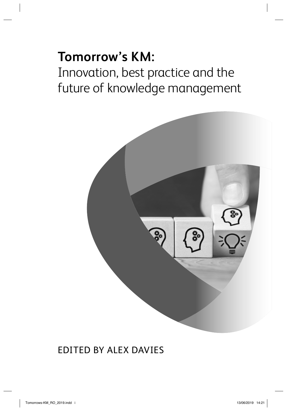# **Tomorrow's KM:**  Innovation, best practice and the future of knowledge management



### EDITED BY ALEX DAVIES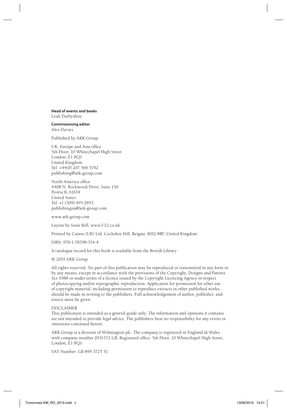**Head of events and books** Leah Darbyshire

#### **Commissioning editor** Alex Davies

Published by ARK Group:

UK, Europe and Asia office 5th Floor, 10 Whitechapel High Street London, E1 8QS United Kingdom Tel: +44(0) 207 566 5792 publishing@ark-group.com

North America office 4408 N. Rockwood Drive, Suite 150 Peoria IL 61614 United States Tel: +1 (309) 495 2853 publishingna@ark-group.com

www.ark-group.com

Layout by Susie Bell, www.f-12.co.uk

Printed by Canon (UK) Ltd, Cockshot Hill, Reigate, RH2 8BF, United Kingdom

ISBN: 978-1-78358-374-4

A catalogue record for this book is available from the British Library

#### © 2019 ARK Group

All rights reserved. No part of this publication may be reproduced or transmitted in any form or by any means, except in accordance with the provisions of the Copyright, Designs and Patents Act 1988 or under terms of a licence issued by the Copyright Licencing Agency in respect of photocopying and/or reprographic reproduction. Application for permission for other use of copyright material, including permission to reproduce extracts in other published works, should be made in writing to the publishers. Full acknowledgement of author, publisher, and source must be given.

#### DISCLAIMER

This publication is intended as a general guide only. The information and opinions it contains are not intended to provide legal advice. The publishers bear no responsibility for any errors or omissions contained herein.

ARK Group is a division of Wilmington plc. The company is registered in England & Wales with company number 2931372 GB. Registered office: 5th Floor, 10 Whitechapel High Street, London, E1 8QS.

VAT Number: GB 899 3725 51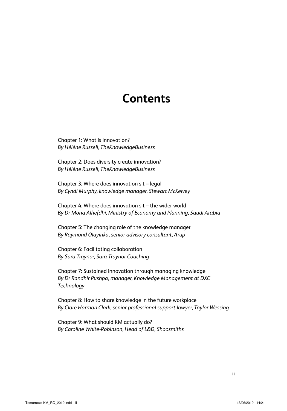# **Contents**

Chapter 1: What is innovation? *By Hélène Russell, TheKnowledgeBusiness*

Chapter 2: Does diversity create innovation? *By Hélène Russell, TheKnowledgeBusiness*

Chapter 3: Where does innovation sit – legal *By Cyndi Murphy, knowledge manager, Stewart McKelvey*

Chapter 4: Where does innovation sit – the wider world *By Dr Mona Alhefdhi, Ministry of Economy and Planning, Saudi Arabia*

Chapter 5: The changing role of the knowledge manager *By Raymond Olayinka, senior advisory consultant, Arup*

Chapter 6: Facilitating collaboration *By Sara Traynor, Sara Traynor Coaching*

Chapter 7: Sustained innovation through managing knowledge *By Dr Randhir Pushpa, manager, Knowledge Management at DXC Technology*

Chapter 8: How to share knowledge in the future workplace *By Clare Harman Clark, senior professional support lawyer, Taylor Wessing*

Chapter 9: What should KM actually do? *By Caroline White-Robinson, Head of L&D, Shoosmiths*

iii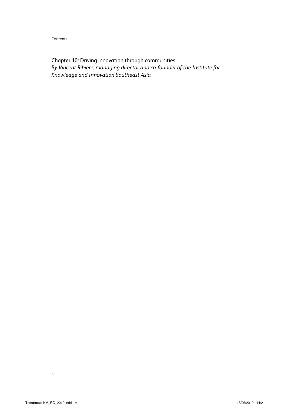Contents

Chapter 10: Driving innovation through communities *By Vincent Ribiere, managing director and co-founder of the Institute for Knowledge and Innovation Southeast Asia*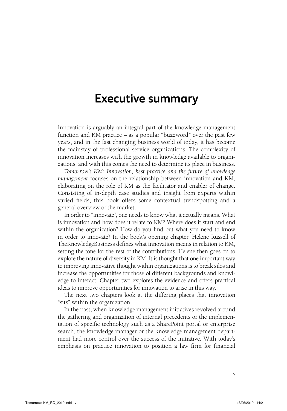### **Executive summary**

Innovation is arguably an integral part of the knowledge management function and KM practice – as a popular "buzzword" over the past few years, and in the fast changing business world of today, it has become the mainstay of professional service organizations. The complexity of innovation increases with the growth in knowledge available to organizations, and with this comes the need to determine its place in business.

*Tomorrow's KM: Innovation, best practice and the future of knowledge management* focuses on the relationship between innovation and KM, elaborating on the role of KM as the facilitator and enabler of change. Consisting of in-depth case studies and insight from experts within varied fields, this book offers some contextual trendspotting and a general overview of the market.

In order to "innovate", one needs to know what it actually means. What is innovation and how does it relate to KM? Where does it start and end within the organization? How do you find out what you need to know in order to innovate? In the book's opening chapter, Helene Russell of TheKnowledgeBusiness defines what innovation means in relation to KM, setting the tone for the rest of the contributions. Helene then goes on to explore the nature of diversity in KM. It is thought that one important way to improving innovative thought within organizations is to break silos and increase the opportunities for those of different backgrounds and knowledge to interact. Chapter two explores the evidence and offers practical ideas to improve opportunities for innovation to arise in this way.

The next two chapters look at the differing places that innovation "sits" within the organization.

In the past, when knowledge management initiatives revolved around the gathering and organization of internal precedents or the implementation of specific technology such as a SharePoint portal or enterprise search, the knowledge manager or the knowledge management department had more control over the success of the initiative. With today's emphasis on practice innovation to position a law firm for financial

Tomorrows-KM\_RO\_2019.indd v omorrows-KM\_RO\_2019.indd 13/06/2019 14:21 3/06/2019

v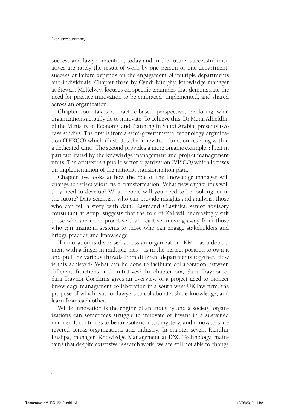success and lawyer retention, today and in the future, successful initiatives are rarely the result of work by one person or one department; success or failure depends on the engagement of multiple departments and individuals. Chapter three by Cyndi Murphy, knowledge manager at Stewart McKelvey, focuses on specific examples that demonstrate the need for practice innovation to be embraced, implemented, and shared across an organization.

Chapter four takes a practice-based perspective, exploring what organizations actually do to innovate. To achieve this, Dr Mona Alhefdhi, of the Ministry of Economy and Planning in Saudi Arabia, presents two case studies. The first is from a semi-governmental technology organization (TEKCO) which illustrates the innovation function residing within a dedicated unit. The second provides a more organic example, albeit in part facilitated by the knowledge management and project management units. The context is a public sector organization (VISCO) which focuses on implementation of the national transformation plan.

Chapter five looks at how the role of the knowledge manager will change to reflect wider field transformation. What new capabilities will they need to develop? What people will you need to be looking for in the future? Data scientists who can provide insights and analysis; those who can tell a story with data? Raymond Olayinka, senior advisory consultant at Arup, suggests that the role of KM will increasingly suit those who are more proactive than reactive, moving away from those who can maintain systems to those who can engage stakeholders and bridge practice and knowledge.

If innovation is dispersed across an organization, KM – as a department with a finger in multiple pies  $-$  is in the perfect position to own it and pull the various threads from different departments together. How is this achieved? What can be done to facilitate collaboration between different functions and initiatives? In chapter six, Sara Traynor of Sara Traynor Coaching gives an overview of a project used to pioneer knowledge management collaboration in a south west UK law firm, the purpose of which was for lawyers to collaborate, share knowledge, and learn from each other.

While innovation is the engine of an industry and a society, organizations can sometimes struggle to innovate or invent in a sustained manner. It continues to be an esoteric art, a mystery, and innovators are revered across organizations and industry. In chapter seven, Randhir Pushpa, manager, Knowledge Management at DXC Technology, maintains that despite extensive research work, we are still not able to change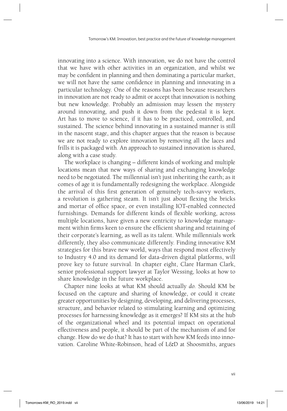innovating into a science. With innovation, we do not have the control that we have with other activities in an organization, and whilst we may be confident in planning and then dominating a particular market, we will not have the same confidence in planning and innovating in a particular technology. One of the reasons has been because researchers in innovation are not ready to admit or accept that innovation is nothing but new knowledge. Probably an admission may lessen the mystery around innovating, and push it down from the pedestal it is kept. Art has to move to science, if it has to be practiced, controlled, and sustained. The science behind innovating in a sustained manner is still in the nascent stage, and this chapter argues that the reason is because we are not ready to explore innovation by removing all the laces and frills it is packaged with. An approach to sustained innovation is shared, along with a case study.

The workplace is changing – different kinds of working and multiple locations mean that new ways of sharing and exchanging knowledge need to be negotiated. The millennial isn't just inheriting the earth; as it comes of age it is fundamentally redesigning the workplace. Alongside the arrival of this first generation of genuinely tech-savvy workers, a revolution is gathering steam. It isn't just about flexing the bricks and mortar of office space, or even installing IOT-enabled connected furnishings. Demands for different kinds of flexible working, across multiple locations, have given a new centricity to knowledge management within firms keen to ensure the efficient sharing and retaining of their corporate's learning, as well as its talent. While millennials work differently, they also communicate differently. Finding innovative KM strategies for this brave new world, ways that respond most effectively to Industry 4.0 and its demand for data-driven digital platforms, will prove key to future survival. In chapter eight, Clare Harman Clark, senior professional support lawyer at Taylor Wessing, looks at how to share knowledge in the future workplace.

Chapter nine looks at what KM should actually *do*. Should KM be focused on the capture and sharing of knowledge, or could it create greater opportunities by designing, developing, and delivering processes, structure, and behavior related to stimulating learning and optimizing processes for harnessing knowledge as it emerges? If KM sits at the hub of the organizational wheel and its potential impact on operational effectiveness and people, it should be part of the mechanism of and for change. How do we do that? It has to start with how KM feeds into innovation. Caroline White-Robinson, head of L&D at Shoosmiths, argues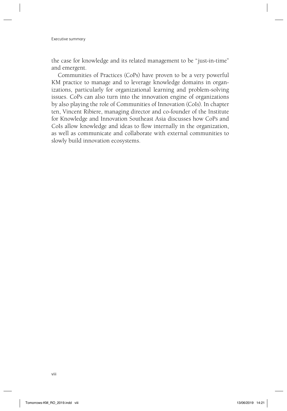Executive summary

the case for knowledge and its related management to be "just-in-time" and emergent.

Communities of Practices (CoPs) have proven to be a very powerful KM practice to manage and to leverage knowledge domains in organizations, particularly for organizational learning and problem-solving issues. CoPs can also turn into the innovation engine of organizations by also playing the role of Communities of Innovation (CoIs). In chapter ten, Vincent Ribiere, managing director and co-founder of the Institute for Knowledge and Innovation Southeast Asia discusses how CoPs and CoIs allow knowledge and ideas to flow internally in the organization, as well as communicate and collaborate with external communities to slowly build innovation ecosystems.

viii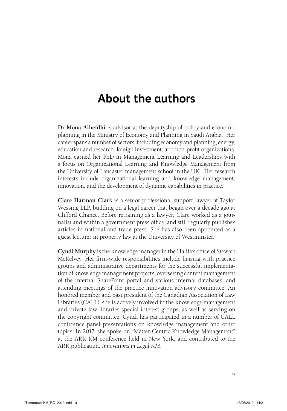## **About the authors**

**Dr Mona Alhefdhi** is advisor at the deputyship of policy and economic planning in the Ministry of Economy and Planning in Saudi Arabia. Her career spans a number of sectors, including economy and planning, energy, education and research, foreign investment, and non-profit organizations. Mona earned her PhD in Management Learning and Leaderships with a focus on Organizational Learning and Knowledge Management from the University of Lancaster management school in the UK. Her research interests include organizational learning and knowledge management, innovation, and the development of dynamic capabilities in practice.

**Clare Harman Clark** is a senior professional support lawyer at Taylor Wessing LLP, building on a legal career that began over a decade ago at Clifford Chance. Before retraining as a lawyer, Clare worked as a journalist and within a government press office, and still regularly publishes articles in national and trade press. She has also been appointed as a guest lecturer in property law at the University of Westminster.

**Cyndi Murphy** is the knowledge manager in the Halifax office of Stewart McKelvey. Her firm-wide responsibilities include liaising with practice groups and administrative departments for the successful implementation of knowledge management projects, overseeing content management of the internal SharePoint portal and various internal databases, and attending meetings of the practice innovation advisory committee. An honored member and past president of the Canadian Association of Law Libraries (CALL), she is actively involved in the knowledge management and private law libraries special interest groups, as well as serving on the copyright committee. Cyndi has participated in a number of CALL conference panel presentations on knowledge management and other topics. In 2017, she spoke on "Matter-Centric Knowledge Management" at the ARK KM conference held in New York, and contributed to the ARK publication, *Innovations in Legal KM*.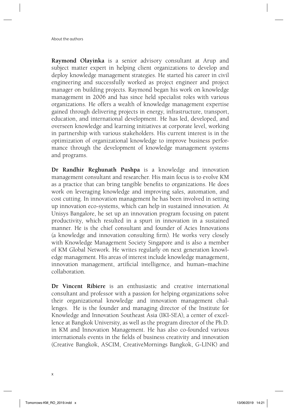About the authors

**Raymond Olayinka** is a senior advisory consultant at Arup and subject matter expert in helping client organizations to develop and deploy knowledge management strategies. He started his career in civil engineering and successfully worked as project engineer and project manager on building projects. Raymond began his work on knowledge management in 2006 and has since held specialist roles with various organizations. He offers a wealth of knowledge management expertise gained through delivering projects in energy, infrastructure, transport, education, and international development. He has led, developed, and overseen knowledge and learning initiatives at corporate level, working in partnership with various stakeholders. His current interest is in the optimization of organizational knowledge to improve business performance through the development of knowledge management systems and programs.

**Dr Randhir Reghunath Pushpa** is a knowledge and innovation management consultant and researcher. His main focus is to evolve KM as a practice that can bring tangible benefits to organizations. He does work on leveraging knowledge and improving sales, automation, and cost cutting. In innovation management he has been involved in setting up innovation eco-systems, which can help in sustained innovation. At Unisys Bangalore, he set up an innovation program focusing on patent productivity, which resulted in a spurt in innovation in a sustained manner. He is the chief consultant and founder of Acies Innovations (a knowledge and innovation consulting firm). He works very closely with Knowledge Management Society Singapore and is also a member of KM Global Network. He writes regularly on next generation knowledge management. His areas of interest include knowledge management, innovation management, artificial intelligence, and human-machine collaboration.

**Dr Vincent Ribiere** is an enthusiastic and creative international consultant and professor with a passion for helping organizations solve their organizational knowledge and innovation management challenges. He is the founder and managing director of the Institute for Knowledge and Innovation Southeast Asia (IKI-SEA), a center of excellence at Bangkok University, as well as the program director of the Ph.D. in KM and Innovation Management. He has also co-founded various internationals events in the fields of business creativity and innovation (Creative Bangkok, ASCIM, CreativeMornings Bangkok, G-LINK) and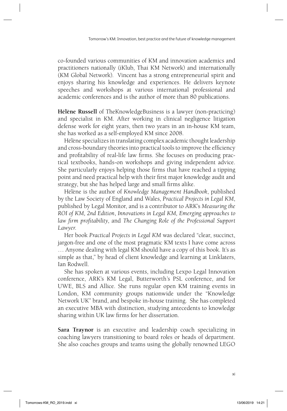co-founded various communities of KM and innovation academics and practitioners nationally (iKlub, Thai KM Network) and internationally (KM Global Network). Vincent has a strong entrepreneurial spirit and enjoys sharing his knowledge and experiences. He delivers keynote speeches and workshops at various international professional and academic conferences and is the author of more than 80 publications.

**Hélène Russell** of TheKnowledgeBusiness is a lawyer (non-practicing) and specialist in KM. After working in clinical negligence litigation defense work for eight years, then two years in an in-house KM team, she has worked as a self-employed KM since 2008.

Hélène specializes in translating complex academic thought leadership and cross-boundary theories into practical tools to improve the efficiency and profitability of real-life law firms. She focuses on producing practical textbooks, hands-on workshops and giving independent advice. She particularly enjoys helping those firms that have reached a tipping point and need practical help with their first major knowledge audit and strategy, but she has helped large and small firms alike.

Hélène is the author of *Knowledge Management Handbook*, published by the Law Society of England and Wales, *Practical Projects in Legal KM*, published by Legal Monitor, and is a contributor to ARK's *Measuring the ROI of KM, 2nd Edition*, *Innovations in Legal KM, Emerging approaches to*  law firm profitability, and The Changing Role of the Professional Support *Lawyer*.

Her book *Practical Projects in Legal KM* was declared "clear, succinct, jargon-free and one of the most pragmatic KM texts I have come across … Anyone dealing with legal KM should have a copy of this book. It's as simple as that," by head of client knowledge and learning at Linklaters, Ian Rodwell.

She has spoken at various events, including Lexpo Legal Innovation conference, ARK's KM Legal, Butterworth's PSL conference, and for UWE, BLS and Allice. She runs regular open KM training events in London, KM community groups nationwide under the "Knowledge Network UK" brand, and bespoke in-house training. She has completed an executive MBA with distinction, studying antecedents to knowledge sharing within UK law firms for her dissertation.

**Sara Traynor** is an executive and leadership coach specializing in coaching lawyers transitioning to board roles or heads of department. She also coaches groups and teams using the globally renowned LEGO